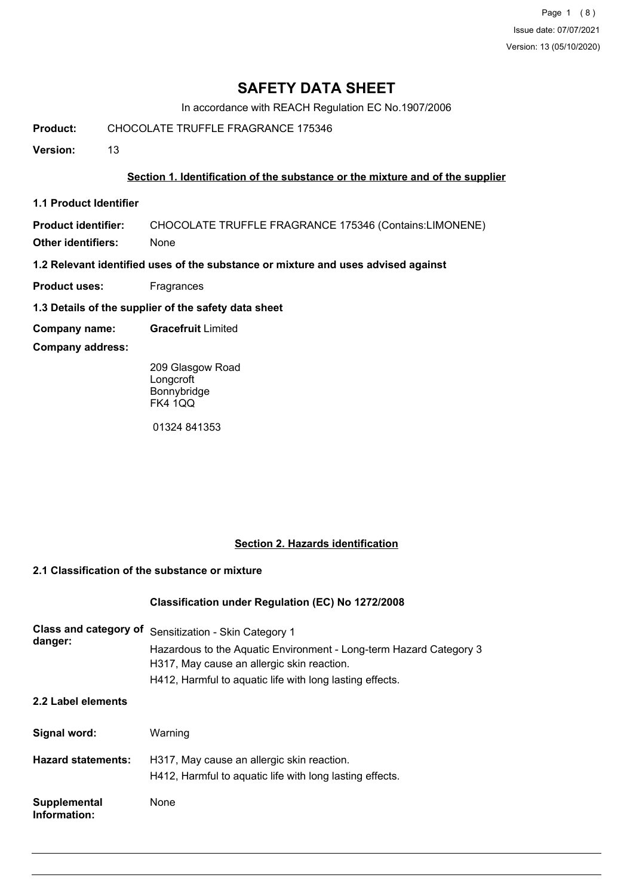Page 1 (8) Issue date: 07/07/2021 Version: 13 (05/10/2020)

# **SAFETY DATA SHEET**

In accordance with REACH Regulation EC No.1907/2006

**Product:** CHOCOLATE TRUFFLE FRAGRANCE 175346

**Version:** 13

### **Section 1. Identification of the substance or the mixture and of the supplier**

**1.1 Product Identifier**

**Product identifier:** CHOCOLATE TRUFFLE FRAGRANCE 175346 (Contains:LIMONENE)

**Other identifiers:** None

**1.2 Relevant identified uses of the substance or mixture and uses advised against**

- **Product uses:** Fragrances
- **1.3 Details of the supplier of the safety data sheet**
- **Company name: Gracefruit** Limited
- **Company address:**

209 Glasgow Road Longcroft Bonnybridge FK4 1QQ

01324 841353

# **Section 2. Hazards identification**

### **2.1 Classification of the substance or mixture**

### **Classification under Regulation (EC) No 1272/2008**

| Class and category of<br>danger:    | Sensitization - Skin Category 1<br>Hazardous to the Aquatic Environment - Long-term Hazard Category 3<br>H317, May cause an allergic skin reaction.<br>H412, Harmful to aquatic life with long lasting effects. |
|-------------------------------------|-----------------------------------------------------------------------------------------------------------------------------------------------------------------------------------------------------------------|
| 2.2 Label elements                  |                                                                                                                                                                                                                 |
| Signal word:                        | Warning                                                                                                                                                                                                         |
| <b>Hazard statements:</b>           | H317, May cause an allergic skin reaction.<br>H412, Harmful to aquatic life with long lasting effects.                                                                                                          |
| <b>Supplemental</b><br>Information: | None                                                                                                                                                                                                            |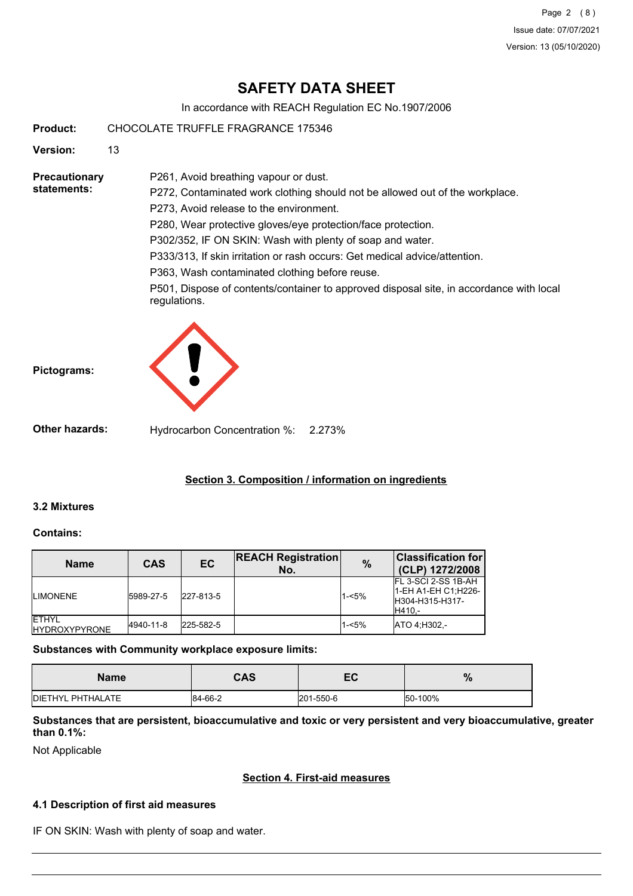Page 2 (8) Issue date: 07/07/2021 Version: 13 (05/10/2020)

# **SAFETY DATA SHEET**

In accordance with REACH Regulation EC No.1907/2006

**Product:** CHOCOLATE TRUFFLE FRAGRANCE 175346

**Version:** 13

**Precautionary statements:**

P272, Contaminated work clothing should not be allowed out of the workplace. P273, Avoid release to the environment. P280, Wear protective gloves/eye protection/face protection.

P302/352, IF ON SKIN: Wash with plenty of soap and water.

P333/313, If skin irritation or rash occurs: Get medical advice/attention.

P363, Wash contaminated clothing before reuse.

P261, Avoid breathing vapour or dust.

P501, Dispose of contents/container to approved disposal site, in accordance with local regulations.



**Other hazards:** Hydrocarbon Concentration %: 2.273%

# **Section 3. Composition / information on ingredients**

# **3.2 Mixtures**

**Pictograms:**

### **Contains:**

| <b>Name</b>                            | <b>CAS</b> | EC        | <b>REACH Registration</b><br>No. | $\frac{0}{0}$ | $ \mathsf{Classification}\ \mathsf{for} $<br>(CLP) 1272/2008               |
|----------------------------------------|------------|-----------|----------------------------------|---------------|----------------------------------------------------------------------------|
| <b>ILIMONENE</b>                       | 5989-27-5  | 227-813-5 |                                  | $1 - 5%$      | FL 3-SCI 2-SS 1B-AH<br>1-EH A1-EH C1; H226-<br>IH304-H315-H317-<br>IH410.- |
| <b>IETHYL</b><br><b>IHYDROXYPYRONE</b> | 4940-11-8  | 225-582-5 |                                  | $1 - 5%$      | ATO 4:H302.-                                                               |

**Substances with Community workplace exposure limits:**

| Name                     | <b>CAS</b> | — г<br>cc | $\mathbf{o}$<br>70 |
|--------------------------|------------|-----------|--------------------|
| <b>DIETHYL PHTHALATE</b> | 84-66-2    | 201-550-6 | 50-100%            |

**Substances that are persistent, bioaccumulative and toxic or very persistent and very bioaccumulative, greater than 0.1%:**

Not Applicable

# **Section 4. First-aid measures**

# **4.1 Description of first aid measures**

IF ON SKIN: Wash with plenty of soap and water.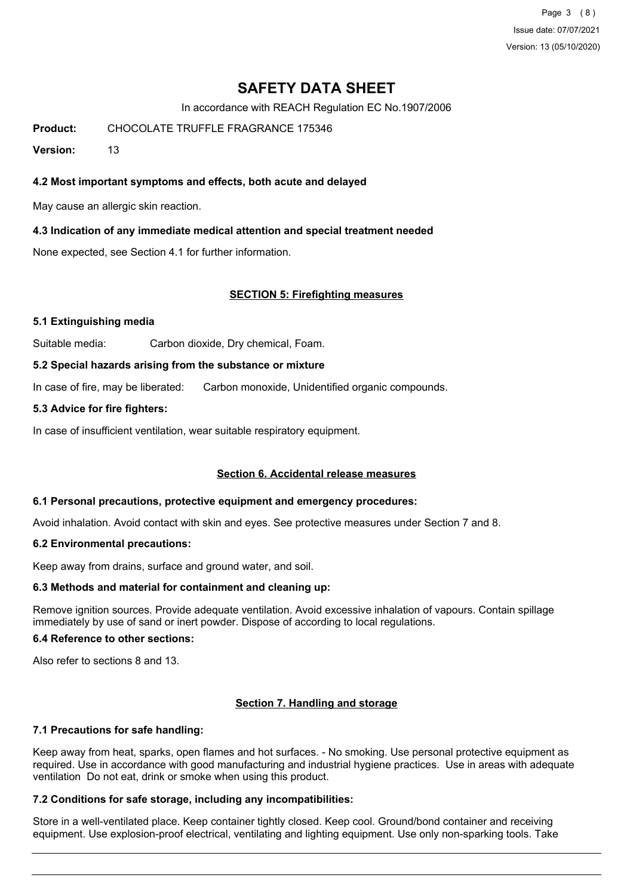Page 3 (8) Issue date: 07/07/2021 Version: 13 (05/10/2020)

# **SAFETY DATA SHEET**

In accordance with REACH Regulation EC No.1907/2006

**Product:** CHOCOLATE TRUFFLE FRAGRANCE 175346

**Version:** 13

### **4.2 Most important symptoms and effects, both acute and delayed**

May cause an allergic skin reaction.

### **4.3 Indication of any immediate medical attention and special treatment needed**

None expected, see Section 4.1 for further information.

### **SECTION 5: Firefighting measures**

### **5.1 Extinguishing media**

Suitable media: Carbon dioxide, Dry chemical, Foam.

### **5.2 Special hazards arising from the substance or mixture**

In case of fire, may be liberated: Carbon monoxide, Unidentified organic compounds.

### **5.3 Advice for fire fighters:**

In case of insufficient ventilation, wear suitable respiratory equipment.

## **Section 6. Accidental release measures**

### **6.1 Personal precautions, protective equipment and emergency procedures:**

Avoid inhalation. Avoid contact with skin and eyes. See protective measures under Section 7 and 8.

### **6.2 Environmental precautions:**

Keep away from drains, surface and ground water, and soil.

### **6.3 Methods and material for containment and cleaning up:**

Remove ignition sources. Provide adequate ventilation. Avoid excessive inhalation of vapours. Contain spillage immediately by use of sand or inert powder. Dispose of according to local regulations.

#### **6.4 Reference to other sections:**

Also refer to sections 8 and 13.

### **Section 7. Handling and storage**

### **7.1 Precautions for safe handling:**

Keep away from heat, sparks, open flames and hot surfaces. - No smoking. Use personal protective equipment as required. Use in accordance with good manufacturing and industrial hygiene practices. Use in areas with adequate ventilation Do not eat, drink or smoke when using this product.

### **7.2 Conditions for safe storage, including any incompatibilities:**

Store in a well-ventilated place. Keep container tightly closed. Keep cool. Ground/bond container and receiving equipment. Use explosion-proof electrical, ventilating and lighting equipment. Use only non-sparking tools. Take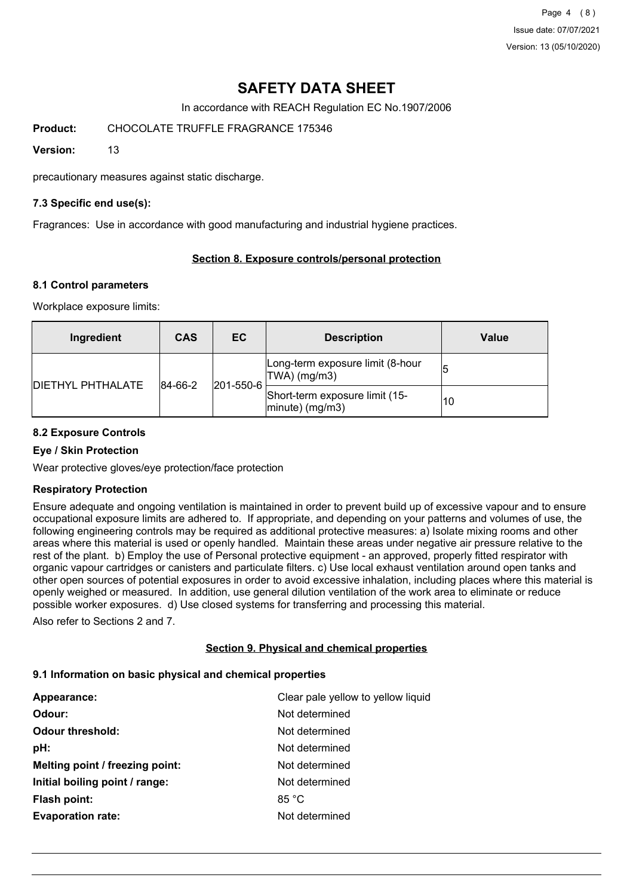Page 4 (8) Issue date: 07/07/2021 Version: 13 (05/10/2020)

# **SAFETY DATA SHEET**

In accordance with REACH Regulation EC No.1907/2006

**Product:** CHOCOLATE TRUFFLE FRAGRANCE 175346

**Version:** 13

precautionary measures against static discharge.

## **7.3 Specific end use(s):**

Fragrances: Use in accordance with good manufacturing and industrial hygiene practices.

# **Section 8. Exposure controls/personal protection**

## **8.1 Control parameters**

Workplace exposure limits:

| Ingredient                | <b>CAS</b> | EC                | <b>Description</b>                                       | Value |
|---------------------------|------------|-------------------|----------------------------------------------------------|-------|
|                           | 84-66-2    |                   | Long-term exposure limit (8-hour<br>$TWA)$ (mg/m3)       |       |
| <b>IDIETHYL PHTHALATE</b> |            | $ 201 - 550 - 6 $ | Short-term exposure limit (15-<br>$ $ minute $ $ (mg/m3) | 10    |

## **8.2 Exposure Controls**

## **Eye / Skin Protection**

Wear protective gloves/eye protection/face protection

### **Respiratory Protection**

Ensure adequate and ongoing ventilation is maintained in order to prevent build up of excessive vapour and to ensure occupational exposure limits are adhered to. If appropriate, and depending on your patterns and volumes of use, the following engineering controls may be required as additional protective measures: a) Isolate mixing rooms and other areas where this material is used or openly handled. Maintain these areas under negative air pressure relative to the rest of the plant. b) Employ the use of Personal protective equipment - an approved, properly fitted respirator with organic vapour cartridges or canisters and particulate filters. c) Use local exhaust ventilation around open tanks and other open sources of potential exposures in order to avoid excessive inhalation, including places where this material is openly weighed or measured. In addition, use general dilution ventilation of the work area to eliminate or reduce possible worker exposures. d) Use closed systems for transferring and processing this material.

Also refer to Sections 2 and 7.

### **Section 9. Physical and chemical properties**

# **9.1 Information on basic physical and chemical properties**

| Appearance:                     | Clear pale yellow to yellow liquid |
|---------------------------------|------------------------------------|
| Odour:                          | Not determined                     |
| <b>Odour threshold:</b>         | Not determined                     |
| pH:                             | Not determined                     |
| Melting point / freezing point: | Not determined                     |
| Initial boiling point / range:  | Not determined                     |
| <b>Flash point:</b>             | 85 °C                              |
| <b>Evaporation rate:</b>        | Not determined                     |
|                                 |                                    |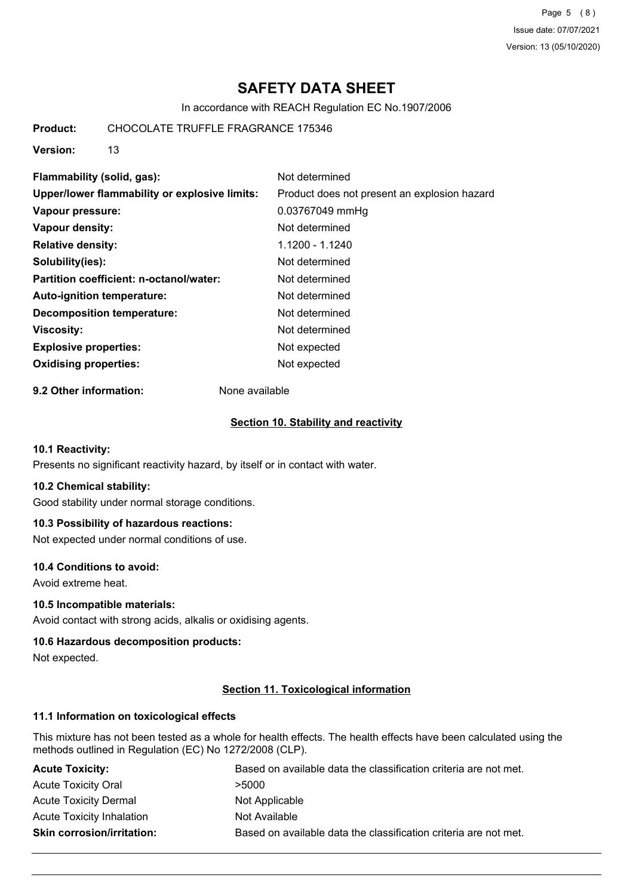Page 5 (8) Issue date: 07/07/2021 Version: 13 (05/10/2020)

# **SAFETY DATA SHEET**

In accordance with REACH Regulation EC No.1907/2006

**Product:** CHOCOLATE TRUFFLE FRAGRANCE 175346

**Version:** 13

| Flammability (solid, gas):                    | Not determined                               |
|-----------------------------------------------|----------------------------------------------|
| Upper/lower flammability or explosive limits: | Product does not present an explosion hazard |
| Vapour pressure:                              | 0.03767049 mmHg                              |
| Vapour density:                               | Not determined                               |
| <b>Relative density:</b>                      | 1.1200 - 1.1240                              |
| Solubility(ies):                              | Not determined                               |
| Partition coefficient: n-octanol/water:       | Not determined                               |
| Auto-ignition temperature:                    | Not determined                               |
| Decomposition temperature:                    | Not determined                               |
| <b>Viscosity:</b>                             | Not determined                               |
| <b>Explosive properties:</b>                  | Not expected                                 |
| <b>Oxidising properties:</b>                  | Not expected                                 |
|                                               |                                              |

**9.2 Other information:** None available

### **Section 10. Stability and reactivity**

## **10.1 Reactivity:**

Presents no significant reactivity hazard, by itself or in contact with water.

#### **10.2 Chemical stability:**

Good stability under normal storage conditions.

### **10.3 Possibility of hazardous reactions:**

Not expected under normal conditions of use.

### **10.4 Conditions to avoid:**

Avoid extreme heat.

### **10.5 Incompatible materials:**

Avoid contact with strong acids, alkalis or oxidising agents.

### **10.6 Hazardous decomposition products:**

Not expected.

### **Section 11. Toxicological information**

## **11.1 Information on toxicological effects**

This mixture has not been tested as a whole for health effects. The health effects have been calculated using the methods outlined in Regulation (EC) No 1272/2008 (CLP).

| <b>Acute Toxicity:</b>            | Based on available data the classification criteria are not met. |
|-----------------------------------|------------------------------------------------------------------|
| <b>Acute Toxicity Oral</b>        | >5000                                                            |
| <b>Acute Toxicity Dermal</b>      | Not Applicable                                                   |
| Acute Toxicity Inhalation         | Not Available                                                    |
| <b>Skin corrosion/irritation:</b> | Based on available data the classification criteria are not met. |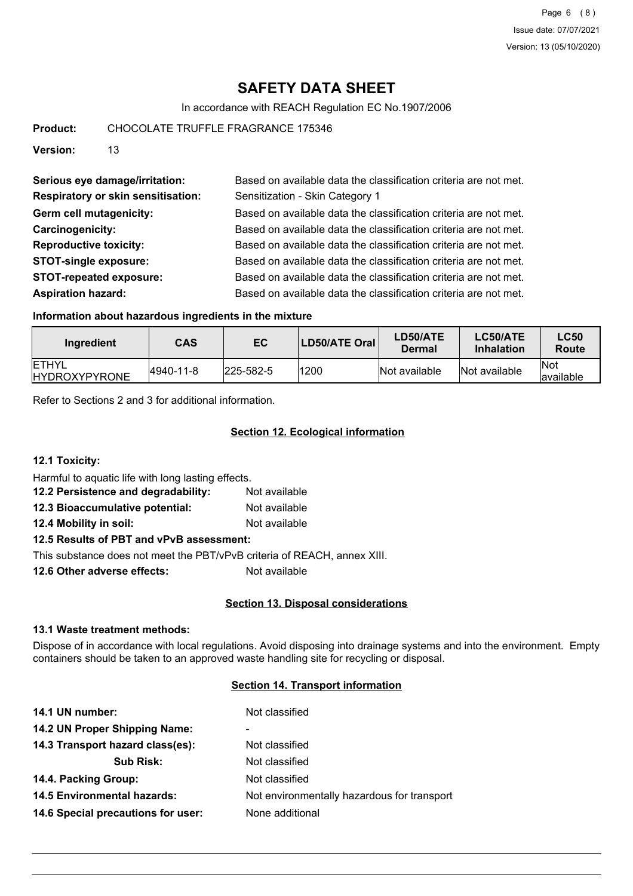# **SAFETY DATA SHEET**

In accordance with REACH Regulation EC No.1907/2006

**Product:** CHOCOLATE TRUFFLE FRAGRANCE 175346

**Version:** 13

| Serious eye damage/irritation:            | Based on available data the classification criteria are not met. |
|-------------------------------------------|------------------------------------------------------------------|
| <b>Respiratory or skin sensitisation:</b> | Sensitization - Skin Category 1                                  |
| Germ cell mutagenicity:                   | Based on available data the classification criteria are not met. |
| Carcinogenicity:                          | Based on available data the classification criteria are not met. |
| <b>Reproductive toxicity:</b>             | Based on available data the classification criteria are not met. |
| <b>STOT-single exposure:</b>              | Based on available data the classification criteria are not met. |
| <b>STOT-repeated exposure:</b>            | Based on available data the classification criteria are not met. |
| <b>Aspiration hazard:</b>                 | Based on available data the classification criteria are not met. |

### **Information about hazardous ingredients in the mixture**

| Ingredient                            | <b>CAS</b> | EC                | <b>LD50/ATE Oral</b> | <b>LD50/ATE</b><br>Dermal | LC50/ATE<br><b>Inhalation</b> | <b>LC50</b><br>Route |
|---------------------------------------|------------|-------------------|----------------------|---------------------------|-------------------------------|----------------------|
| <b>ETHYL</b><br><b>IHYDROXYPYRONE</b> | 4940-11-8  | $ 225 - 582 - 5 $ | 1200                 | Not available             | Not available                 | lNot<br>lavailable   |

Refer to Sections 2 and 3 for additional information.

## **Section 12. Ecological information**

**12.1 Toxicity:**

Harmful to aquatic life with long lasting effects.

| 12.2 Persistence and degradability: | Not available |
|-------------------------------------|---------------|
| 12.3 Bioaccumulative potential:     | Not available |
| 12.4 Mobility in soil:              | Not available |

**12.5 Results of PBT and vPvB assessment:**

This substance does not meet the PBT/vPvB criteria of REACH, annex XIII.

**12.6 Other adverse effects:** Not available

## **Section 13. Disposal considerations**

### **13.1 Waste treatment methods:**

Dispose of in accordance with local regulations. Avoid disposing into drainage systems and into the environment. Empty containers should be taken to an approved waste handling site for recycling or disposal.

## **Section 14. Transport information**

| 14.1 UN number:                    | Not classified                              |
|------------------------------------|---------------------------------------------|
| 14.2 UN Proper Shipping Name:      | $\blacksquare$                              |
| 14.3 Transport hazard class(es):   | Not classified                              |
| <b>Sub Risk:</b>                   | Not classified                              |
| 14.4. Packing Group:               | Not classified                              |
| <b>14.5 Environmental hazards:</b> | Not environmentally hazardous for transport |
| 14.6 Special precautions for user: | None additional                             |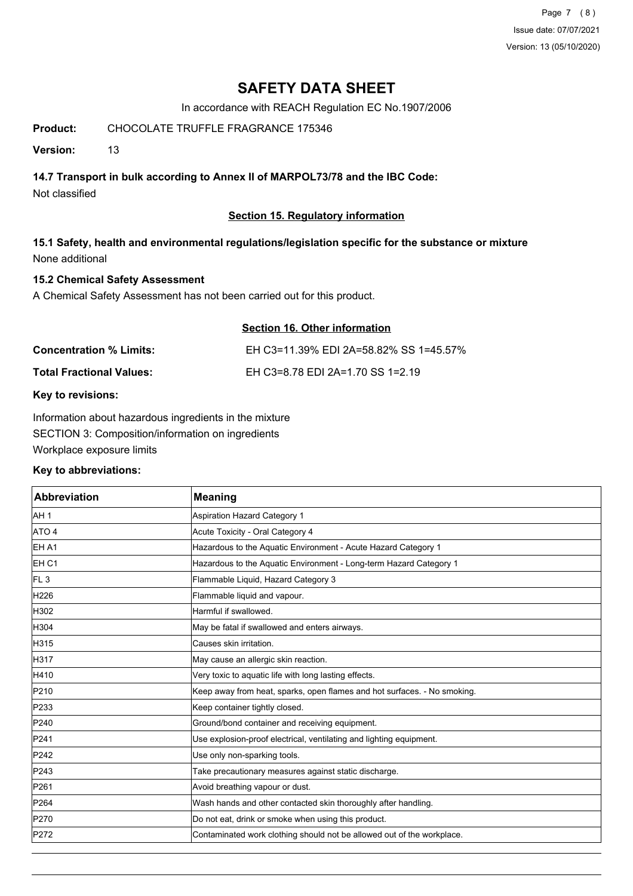Page 7 (8) Issue date: 07/07/2021 Version: 13 (05/10/2020)

# **SAFETY DATA SHEET**

In accordance with REACH Regulation EC No.1907/2006

# **Product:** CHOCOLATE TRUFFLE FRAGRANCE 175346

**Version:** 13

# **14.7 Transport in bulk according to Annex II of MARPOL73/78 and the IBC Code:**

Not classified

## **Section 15. Regulatory information**

# **15.1 Safety, health and environmental regulations/legislation specific for the substance or mixture** None additional

## **15.2 Chemical Safety Assessment**

A Chemical Safety Assessment has not been carried out for this product.

# **Section 16. Other information Concentration % Limits:** EH C3=11.39% EDI 2A=58.82% SS 1=45.57% **Total Fractional Values:** EH C3=8.78 EDI 2A=1.70 SS 1=2.19

### **Key to revisions:**

Information about hazardous ingredients in the mixture SECTION 3: Composition/information on ingredients Workplace exposure limits

### **Key to abbreviations:**

| Abbreviation     | <b>Meaning</b>                                                           |
|------------------|--------------------------------------------------------------------------|
| AH <sub>1</sub>  | <b>Aspiration Hazard Category 1</b>                                      |
| ATO 4            | Acute Toxicity - Oral Category 4                                         |
| <b>EHA1</b>      | Hazardous to the Aquatic Environment - Acute Hazard Category 1           |
| EH <sub>C1</sub> | Hazardous to the Aquatic Environment - Long-term Hazard Category 1       |
| FL <sub>3</sub>  | Flammable Liquid, Hazard Category 3                                      |
| H226             | Flammable liquid and vapour.                                             |
| H302             | Harmful if swallowed.                                                    |
| H304             | May be fatal if swallowed and enters airways.                            |
| H315             | Causes skin irritation.                                                  |
| H317             | May cause an allergic skin reaction.                                     |
| H410             | Very toxic to aquatic life with long lasting effects.                    |
| P210             | Keep away from heat, sparks, open flames and hot surfaces. - No smoking. |
| P233             | Keep container tightly closed.                                           |
| P240             | Ground/bond container and receiving equipment.                           |
| P241             | Use explosion-proof electrical, ventilating and lighting equipment.      |
| P242             | Use only non-sparking tools.                                             |
| P243             | Take precautionary measures against static discharge.                    |
| P261             | Avoid breathing vapour or dust.                                          |
| P264             | Wash hands and other contacted skin thoroughly after handling.           |
| P270             | Do not eat, drink or smoke when using this product.                      |
| P272             | Contaminated work clothing should not be allowed out of the workplace.   |